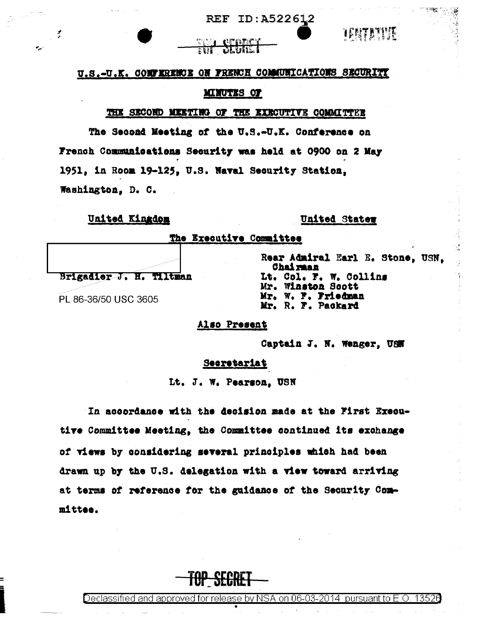



### U.S.-U.K. COMFERENCE ON FRENCH COMMUNICATIONS SECURITY

# **MINUTES OF**

#### THE SECOND MEETING OF THE EXECUTIVE COMMITTEE

The Second Meeting of the U.S.-U.K. Conference on French Communications Security was held at 0900 on 2 May 1951, in Room 19-125, U.S. Naval Security Station. Washington, D. C.

# United Kingdom

# United Stater

The Executive Committee

Brigadier J. H. Tiltman

PL 86-36/50 USC 3605

Rear Admiral Earl E. Stone, USN. **Chairman** Lt. Col. F. W. Collins Mr. Winston Scott Mr. W. F. Friedman Mr. R. F. Packard

Also Present

Captain J. N. Wenger, USN

#### Secretariat

Lt. J. W. Pearson, USN

In accordance with the decision made at the First Executive Committee Meeting, the Committee continued its exchange of views by considering several principles which had been drawn up by the U.S. delegation with a view toward arriving at terms of reference for the guidance of the Security Committee.



Declassified and approved for release by NSA on 06-03-2014. 13526 bursuant to E.O.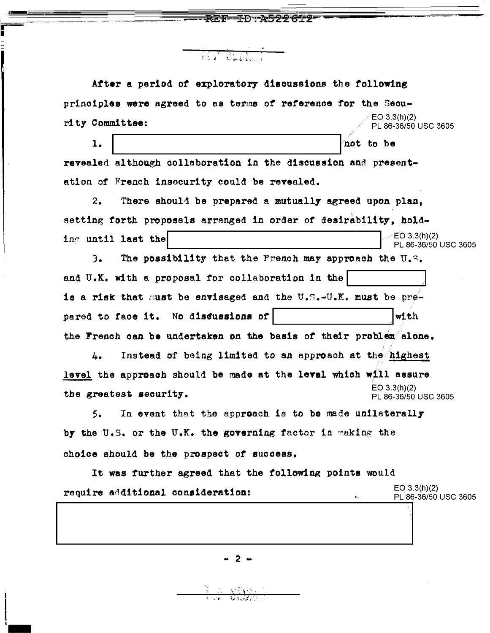After a period of exploratory discussions the following principles were agreed to as terms of reference for the Secu- $EO 3.3(h)(2)$ rity Committee: PL 86-36/50 USC 3605  $\mathbf{1}$ . not to be revealed although collaboration in the discussion and presentation of French insecurity could be revealed.  $2.$ There should be prepared a mutually agreed upon plan. setting forth proposals arranged in order of desirability, hold- $EO$  3.3(h)(2) ing until last the PL 86-36/50 USC 3605 The possibility that the French may approach the U.S.  $3.$ and U.K. with a proposal for collaboration in the is a risk that must be envisaged and the U.S.-U.K. must be prepared to face it. No discussions of with the French can be undertaken on the basis of their problem alone. Instead of being limited to an approach at the highest 4. level the approach should be made at the leval which will assure  $EO$  3.3(h)(2) the greatest security. PL 86-36/50 USC 3605  $5.$ In event that the approach is to be made unilaterally by the U.S. or the U.K. the governing factor in making the choice should be the prospect of success. It was further agreed that the following points would  $EO$  3.3(h)(2) require additional consideration: PL 86-36/50 USC 3605

ネト・ーチワークラクタイーク

 $2 -$ 

AR GEORGIA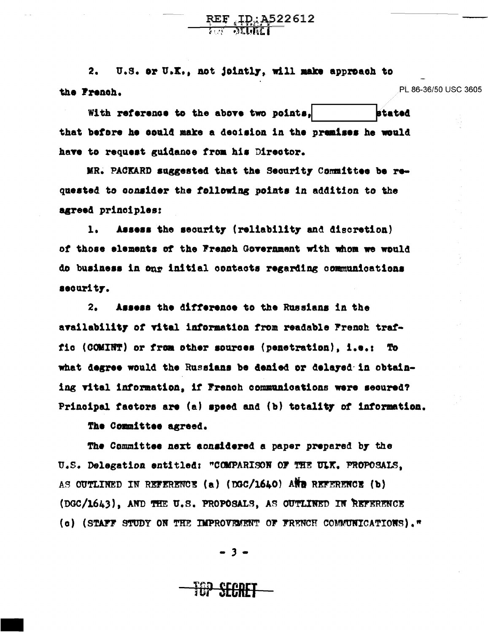U.S. or U.K., not jointly, will make approach to  $2.$ PL 86-36/50 USC 3605 the French.

 $REF_{\overrightarrow{M}}$  $\overrightarrow{MP}$  $\overrightarrow{1}$ 

With reference to the above two points, stated that before he could make a decision in the premises he would have to request guidance from his Director.

MR. PACKARD suggested that the Security Committee be requested to consider the following points in addition to the agreed principles:

Assess the security (reliability and discretion)  $\mathbf{L}$ of those elements of the French Government with whom we would do business in onr initial contacts regarding communications security.

Assess the difference to the Russians in the 2. availability of vital information from readable French traffic (COMINT) or from other sources (penetration), i.e.: To what degree would the Russians be denied or delayed in obtaining vital information. if French communications were secured? Principal factors are (a) speed and (b) totality of information.

The Committee agreed.

The Committee next aonsidered a paper prepared by the U.S. Delegation entitled: "COMPARISON OF THE ULK. PROPOSALS. AS OUTLINED IN REFERENCE (a) (DGC/1640) AND REFERENCE (b) (DGC/1643), AND THE U.S. PROPOSALS, AS OUTLINED IN REFERENCE (c) (STAFF STUDY ON THE IMPROVEMENT OF FRENCH COMMUNICATIONS)."

- 3 -